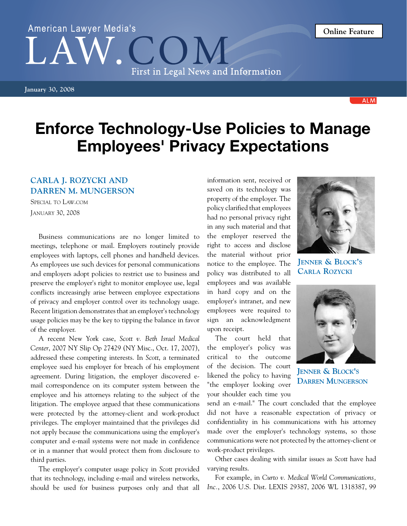**January 30, 2008**

## Enforce Technology-Use Policies to Manage Employees' Privacy Expectations

## **Carla J. Rozycki and Darren M. Mungerson**

Special to Law.com January 30, 2008

Business communications are no longer limited to meetings, telephone or mail. Employers routinely provide employees with laptops, cell phones and handheld devices. As employees use such devices for personal communications and employers adopt policies to restrict use to business and preserve the employer's right to monitor employee use, legal conflicts increasingly arise between employee expectations of privacy and employer control over its technology usage. Recent litigation demonstrates that an employer's technology usage policies may be the key to tipping the balance in favor of the employer.

A recent New York case, *Scott v. Beth Israel Medical Center*, 2007 NY Slip Op 27429 (NY Misc., Oct. 17, 2007), addressed these competing interests. In *Scott*, a terminated employee sued his employer for breach of his employment agreement. During litigation, the employer discovered email correspondence on its computer system between the employee and his attorneys relating to the subject of the litigation. The employee argued that these communications were protected by the attorney-client and work-product privileges. The employer maintained that the privileges did not apply because the communications using the employer's computer and e-mail systems were not made in confidence or in a manner that would protect them from disclosure to third parties.

The employer's computer usage policy in *Scott* provided that its technology, including e-mail and wireless networks, should be used for business purposes only and that all

information sent, received or saved on its technology was property of the employer. The policy clarified that employees had no personal privacy right in any such material and that the employer reserved the right to access and disclose the material without prior notice to the employee. The policy was distributed to all employees and was available in hard copy and on the employer's intranet, and new employees were required to sign an acknowledgment upon receipt.

The court held that the employer's policy was critical to the outcome of the decision. The court likened the policy to having "the employer looking over your shoulder each time you

**Jenner & Block's Carla Rozycki**



send an e-mail." The court concluded that the employee did not have a reasonable expectation of privacy or confidentiality in his communications with his attorney made over the employer's technology systems, so those communications were not protected by the attorney-client or work-product privileges.

Other cases dealing with similar issues as *Scott* have had varying results.

For example, in *Curto v. Medical World Communications, Inc.*, 2006 U.S. Dist. LEXIS 29387, 2006 WL 1318387, 99



**Online Feature**